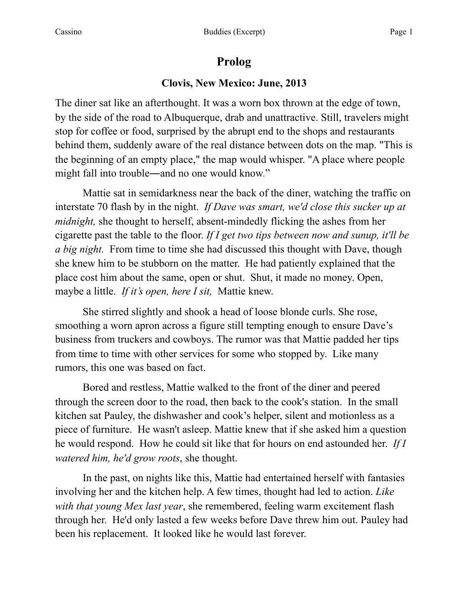# **Prolog**

### **Clovis, New Mexico: June, 2013**

The diner sat like an afterthought. It was a worn box thrown at the edge of town, by the side of the road to Albuquerque, drab and unattractive. Still, travelers might stop for coffee or food, surprised by the abrupt end to the shops and restaurants behind them, suddenly aware of the real distance between dots on the map. "This is the beginning of an empty place," the map would whisper. "A place where people might fall into trouble―and no one would know."

Mattie sat in semidarkness near the back of the diner, watching the traffic on interstate 70 flash by in the night. *If Dave was smart, we'd close this sucker up at midnight,* she thought to herself, absent-mindedly flicking the ashes from her cigarette past the table to the floor. *If I get two tips between now and sunup, it'll be a big night.* From time to time she had discussed this thought with Dave, though she knew him to be stubborn on the matter. He had patiently explained that the place cost him about the same, open or shut. Shut, it made no money. Open, maybe a little. *If it's open, here I sit,* Mattie knew.

She stirred slightly and shook a head of loose blonde curls. She rose, smoothing a worn apron across a figure still tempting enough to ensure Dave's business from truckers and cowboys. The rumor was that Mattie padded her tips from time to time with other services for some who stopped by. Like many rumors, this one was based on fact.

Bored and restless, Mattie walked to the front of the diner and peered through the screen door to the road, then back to the cook's station. In the small kitchen sat Pauley, the dishwasher and cook's helper, silent and motionless as a piece of furniture. He wasn't asleep. Mattie knew that if she asked him a question he would respond. How he could sit like that for hours on end astounded her. *If I watered him, he'd grow roots*, she thought.

In the past, on nights like this, Mattie had entertained herself with fantasies involving her and the kitchen help. A few times, thought had led to action. *Like with that young Mex last year*, she remembered, feeling warm excitement flash through her. He'd only lasted a few weeks before Dave threw him out. Pauley had been his replacement. It looked like he would last forever.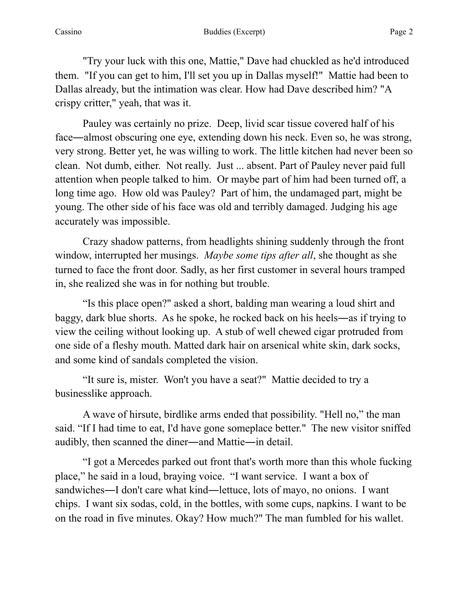"Try your luck with this one, Mattie," Dave had chuckled as he'd introduced them. "If you can get to him, I'll set you up in Dallas myself!" Mattie had been to Dallas already, but the intimation was clear. How had Dave described him? "A crispy critter," yeah, that was it.

 Pauley was certainly no prize. Deep, livid scar tissue covered half of his face―almost obscuring one eye, extending down his neck. Even so, he was strong, very strong. Better yet, he was willing to work. The little kitchen had never been so clean. Not dumb, either. Not really. Just ... absent. Part of Pauley never paid full attention when people talked to him. Or maybe part of him had been turned off, a long time ago. How old was Pauley? Part of him, the undamaged part, might be young. The other side of his face was old and terribly damaged. Judging his age accurately was impossible.

 Crazy shadow patterns, from headlights shining suddenly through the front window, interrupted her musings. *Maybe some tips after all*, she thought as she turned to face the front door. Sadly, as her first customer in several hours tramped in, she realized she was in for nothing but trouble.

"Is this place open?" asked a short, balding man wearing a loud shirt and baggy, dark blue shorts. As he spoke, he rocked back on his heels―as if trying to view the ceiling without looking up. A stub of well chewed cigar protruded from one side of a fleshy mouth. Matted dark hair on arsenical white skin, dark socks, and some kind of sandals completed the vision.

"It sure is, mister. Won't you have a seat?" Mattie decided to try a businesslike approach.

A wave of hirsute, birdlike arms ended that possibility. "Hell no," the man said. "If I had time to eat, I'd have gone someplace better." The new visitor sniffed audibly, then scanned the diner―and Mattie―in detail.

"I got a Mercedes parked out front that's worth more than this whole fucking place," he said in a loud, braying voice. "I want service. I want a box of sandwiches―I don't care what kind―lettuce, lots of mayo, no onions. I want chips. I want six sodas, cold, in the bottles, with some cups, napkins. I want to be on the road in five minutes. Okay? How much?" The man fumbled for his wallet.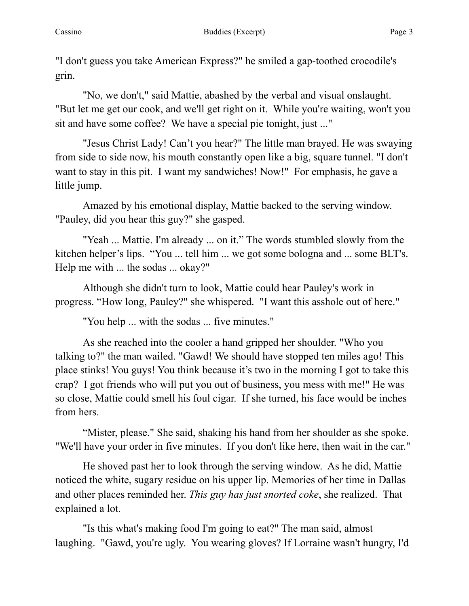"I don't guess you take American Express?" he smiled a gap-toothed crocodile's grin.

 "No, we don't," said Mattie, abashed by the verbal and visual onslaught. "But let me get our cook, and we'll get right on it. While you're waiting, won't you sit and have some coffee? We have a special pie tonight, just ..."

"Jesus Christ Lady! Can't you hear?" The little man brayed. He was swaying from side to side now, his mouth constantly open like a big, square tunnel. "I don't want to stay in this pit. I want my sandwiches! Now!" For emphasis, he gave a little jump.

Amazed by his emotional display, Mattie backed to the serving window. "Pauley, did you hear this guy?" she gasped.

"Yeah ... Mattie. I'm already ... on it." The words stumbled slowly from the kitchen helper's lips. "You ... tell him ... we got some bologna and ... some BLT's. Help me with ... the sodas ... okay?"

Although she didn't turn to look, Mattie could hear Pauley's work in progress. "How long, Pauley?" she whispered. "I want this asshole out of here."

"You help ... with the sodas ... five minutes."

As she reached into the cooler a hand gripped her shoulder. "Who you talking to?" the man wailed. "Gawd! We should have stopped ten miles ago! This place stinks! You guys! You think because it's two in the morning I got to take this crap? I got friends who will put you out of business, you mess with me!" He was so close, Mattie could smell his foul cigar. If she turned, his face would be inches from hers.

"Mister, please." She said, shaking his hand from her shoulder as she spoke. "We'll have your order in five minutes. If you don't like here, then wait in the car."

He shoved past her to look through the serving window. As he did, Mattie noticed the white, sugary residue on his upper lip. Memories of her time in Dallas and other places reminded her. *This guy has just snorted coke*, she realized. That explained a lot.

"Is this what's making food I'm going to eat?" The man said, almost laughing. "Gawd, you're ugly. You wearing gloves? If Lorraine wasn't hungry, I'd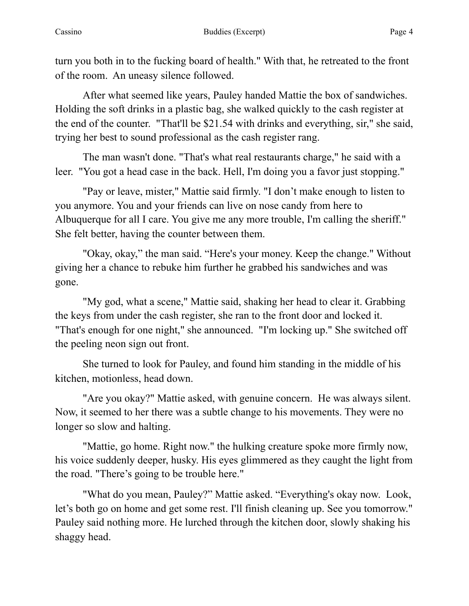turn you both in to the fucking board of health." With that, he retreated to the front of the room. An uneasy silence followed.

After what seemed like years, Pauley handed Mattie the box of sandwiches. Holding the soft drinks in a plastic bag, she walked quickly to the cash register at the end of the counter. "That'll be \$21.54 with drinks and everything, sir," she said, trying her best to sound professional as the cash register rang.

The man wasn't done. "That's what real restaurants charge," he said with a leer. "You got a head case in the back. Hell, I'm doing you a favor just stopping."

"Pay or leave, mister," Mattie said firmly. "I don't make enough to listen to you anymore. You and your friends can live on nose candy from here to Albuquerque for all I care. You give me any more trouble, I'm calling the sheriff." She felt better, having the counter between them.

"Okay, okay," the man said. "Here's your money. Keep the change." Without giving her a chance to rebuke him further he grabbed his sandwiches and was gone.

"My god, what a scene," Mattie said, shaking her head to clear it. Grabbing the keys from under the cash register, she ran to the front door and locked it. "That's enough for one night," she announced. "I'm locking up." She switched off the peeling neon sign out front.

She turned to look for Pauley, and found him standing in the middle of his kitchen, motionless, head down.

"Are you okay?" Mattie asked, with genuine concern. He was always silent. Now, it seemed to her there was a subtle change to his movements. They were no longer so slow and halting.

"Mattie, go home. Right now." the hulking creature spoke more firmly now, his voice suddenly deeper, husky. His eyes glimmered as they caught the light from the road. "There's going to be trouble here."

"What do you mean, Pauley?" Mattie asked. "Everything's okay now. Look, let's both go on home and get some rest. I'll finish cleaning up. See you tomorrow." Pauley said nothing more. He lurched through the kitchen door, slowly shaking his shaggy head.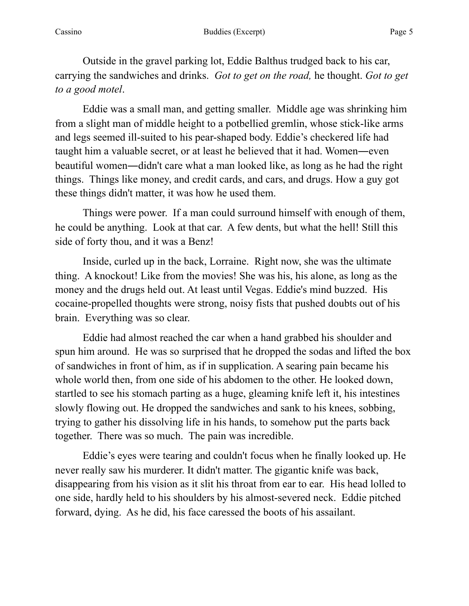Outside in the gravel parking lot, Eddie Balthus trudged back to his car, carrying the sandwiches and drinks. *Got to get on the road,* he thought. *Got to get to a good motel*.

Eddie was a small man, and getting smaller. Middle age was shrinking him from a slight man of middle height to a potbellied gremlin, whose stick-like arms and legs seemed ill-suited to his pear-shaped body. Eddie's checkered life had taught him a valuable secret, or at least he believed that it had. Women―even beautiful women―didn't care what a man looked like, as long as he had the right things. Things like money, and credit cards, and cars, and drugs. How a guy got these things didn't matter, it was how he used them.

Things were power. If a man could surround himself with enough of them, he could be anything. Look at that car. A few dents, but what the hell! Still this side of forty thou, and it was a Benz!

Inside, curled up in the back, Lorraine. Right now, she was the ultimate thing. A knockout! Like from the movies! She was his, his alone, as long as the money and the drugs held out. At least until Vegas. Eddie's mind buzzed. His cocaine-propelled thoughts were strong, noisy fists that pushed doubts out of his brain. Everything was so clear.

Eddie had almost reached the car when a hand grabbed his shoulder and spun him around. He was so surprised that he dropped the sodas and lifted the box of sandwiches in front of him, as if in supplication. A searing pain became his whole world then, from one side of his abdomen to the other. He looked down, startled to see his stomach parting as a huge, gleaming knife left it, his intestines slowly flowing out. He dropped the sandwiches and sank to his knees, sobbing, trying to gather his dissolving life in his hands, to somehow put the parts back together. There was so much. The pain was incredible.

Eddie's eyes were tearing and couldn't focus when he finally looked up. He never really saw his murderer. It didn't matter. The gigantic knife was back, disappearing from his vision as it slit his throat from ear to ear. His head lolled to one side, hardly held to his shoulders by his almost-severed neck. Eddie pitched forward, dying. As he did, his face caressed the boots of his assailant.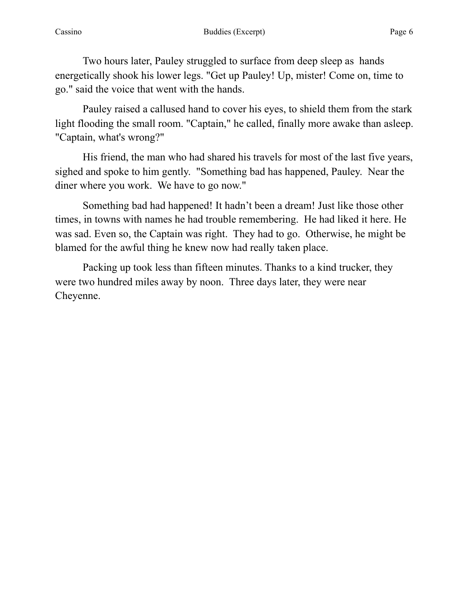Two hours later, Pauley struggled to surface from deep sleep as hands energetically shook his lower legs. "Get up Pauley! Up, mister! Come on, time to go." said the voice that went with the hands.

Pauley raised a callused hand to cover his eyes, to shield them from the stark light flooding the small room. "Captain," he called, finally more awake than asleep. "Captain, what's wrong?"

His friend, the man who had shared his travels for most of the last five years, sighed and spoke to him gently. "Something bad has happened, Pauley. Near the diner where you work. We have to go now."

Something bad had happened! It hadn't been a dream! Just like those other times, in towns with names he had trouble remembering. He had liked it here. He was sad. Even so, the Captain was right. They had to go. Otherwise, he might be blamed for the awful thing he knew now had really taken place.

Packing up took less than fifteen minutes. Thanks to a kind trucker, they were two hundred miles away by noon. Three days later, they were near Cheyenne.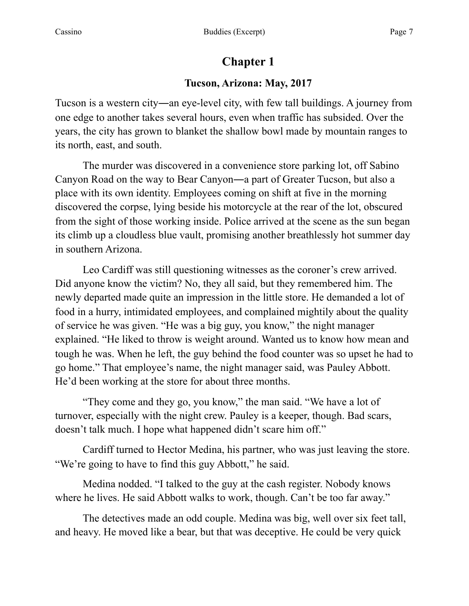# **Chapter 1**

## **Tucson, Arizona: May, 2017**

Tucson is a western city―an eye-level city, with few tall buildings. A journey from one edge to another takes several hours, even when traffic has subsided. Over the years, the city has grown to blanket the shallow bowl made by mountain ranges to its north, east, and south.

The murder was discovered in a convenience store parking lot, off Sabino Canyon Road on the way to Bear Canyon―a part of Greater Tucson, but also a place with its own identity. Employees coming on shift at five in the morning discovered the corpse, lying beside his motorcycle at the rear of the lot, obscured from the sight of those working inside. Police arrived at the scene as the sun began its climb up a cloudless blue vault, promising another breathlessly hot summer day in southern Arizona.

 Leo Cardiff was still questioning witnesses as the coroner's crew arrived. Did anyone know the victim? No, they all said, but they remembered him. The newly departed made quite an impression in the little store. He demanded a lot of food in a hurry, intimidated employees, and complained mightily about the quality of service he was given. "He was a big guy, you know," the night manager explained. "He liked to throw is weight around. Wanted us to know how mean and tough he was. When he left, the guy behind the food counter was so upset he had to go home." That employee's name, the night manager said, was Pauley Abbott. He'd been working at the store for about three months.

 "They come and they go, you know," the man said. "We have a lot of turnover, especially with the night crew. Pauley is a keeper, though. Bad scars, doesn't talk much. I hope what happened didn't scare him off."

 Cardiff turned to Hector Medina, his partner, who was just leaving the store. "We're going to have to find this guy Abbott," he said.

 Medina nodded. "I talked to the guy at the cash register. Nobody knows where he lives. He said Abbott walks to work, though. Can't be too far away."

 The detectives made an odd couple. Medina was big, well over six feet tall, and heavy. He moved like a bear, but that was deceptive. He could be very quick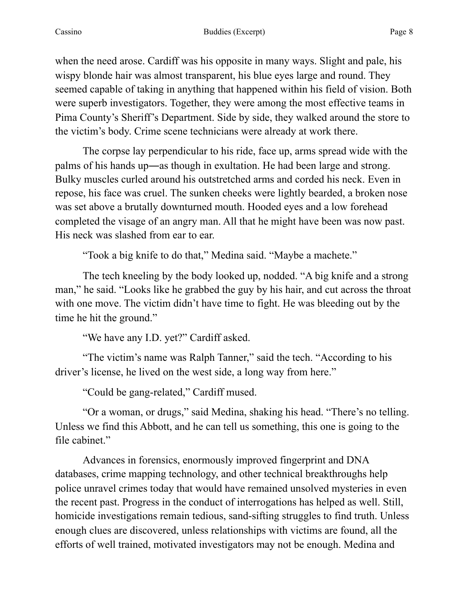when the need arose. Cardiff was his opposite in many ways. Slight and pale, his wispy blonde hair was almost transparent, his blue eyes large and round. They seemed capable of taking in anything that happened within his field of vision. Both were superb investigators. Together, they were among the most effective teams in Pima County's Sheriff's Department. Side by side, they walked around the store to the victim's body. Crime scene technicians were already at work there.

 The corpse lay perpendicular to his ride, face up, arms spread wide with the palms of his hands up―as though in exultation. He had been large and strong. Bulky muscles curled around his outstretched arms and corded his neck. Even in repose, his face was cruel. The sunken cheeks were lightly bearded, a broken nose was set above a brutally downturned mouth. Hooded eyes and a low forehead completed the visage of an angry man. All that he might have been was now past. His neck was slashed from ear to ear.

"Took a big knife to do that," Medina said. "Maybe a machete."

 The tech kneeling by the body looked up, nodded. "A big knife and a strong man," he said. "Looks like he grabbed the guy by his hair, and cut across the throat with one move. The victim didn't have time to fight. He was bleeding out by the time he hit the ground."

"We have any I.D. yet?" Cardiff asked.

 "The victim's name was Ralph Tanner," said the tech. "According to his driver's license, he lived on the west side, a long way from here."

"Could be gang-related," Cardiff mused.

 "Or a woman, or drugs," said Medina, shaking his head. "There's no telling. Unless we find this Abbott, and he can tell us something, this one is going to the file cabinet."

 Advances in forensics, enormously improved fingerprint and DNA databases, crime mapping technology, and other technical breakthroughs help police unravel crimes today that would have remained unsolved mysteries in even the recent past. Progress in the conduct of interrogations has helped as well. Still, homicide investigations remain tedious, sand-sifting struggles to find truth. Unless enough clues are discovered, unless relationships with victims are found, all the efforts of well trained, motivated investigators may not be enough. Medina and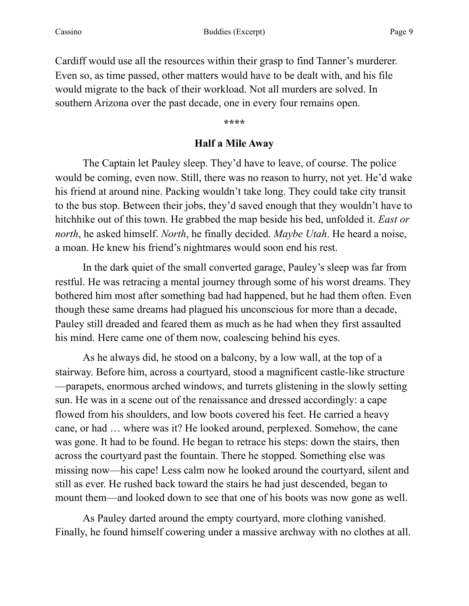Cardiff would use all the resources within their grasp to find Tanner's murderer. Even so, as time passed, other matters would have to be dealt with, and his file would migrate to the back of their workload. Not all murders are solved. In southern Arizona over the past decade, one in every four remains open.

**\*\*\*\*** 

#### **Half a Mile Away**

 The Captain let Pauley sleep. They'd have to leave, of course. The police would be coming, even now. Still, there was no reason to hurry, not yet. He'd wake his friend at around nine. Packing wouldn't take long. They could take city transit to the bus stop. Between their jobs, they'd saved enough that they wouldn't have to hitchhike out of this town. He grabbed the map beside his bed, unfolded it. *East or north*, he asked himself. *North*, he finally decided. *Maybe Utah*. He heard a noise, a moan. He knew his friend's nightmares would soon end his rest.

 In the dark quiet of the small converted garage, Pauley's sleep was far from restful. He was retracing a mental journey through some of his worst dreams. They bothered him most after something bad had happened, but he had them often. Even though these same dreams had plagued his unconscious for more than a decade, Pauley still dreaded and feared them as much as he had when they first assaulted his mind. Here came one of them now, coalescing behind his eyes.

 As he always did, he stood on a balcony, by a low wall, at the top of a stairway. Before him, across a courtyard, stood a magnificent castle-like structure —parapets, enormous arched windows, and turrets glistening in the slowly setting sun. He was in a scene out of the renaissance and dressed accordingly: a cape flowed from his shoulders, and low boots covered his feet. He carried a heavy cane, or had … where was it? He looked around, perplexed. Somehow, the cane was gone. It had to be found. He began to retrace his steps: down the stairs, then across the courtyard past the fountain. There he stopped. Something else was missing now—his cape! Less calm now he looked around the courtyard, silent and still as ever. He rushed back toward the stairs he had just descended, began to mount them—and looked down to see that one of his boots was now gone as well.

 As Pauley darted around the empty courtyard, more clothing vanished. Finally, he found himself cowering under a massive archway with no clothes at all.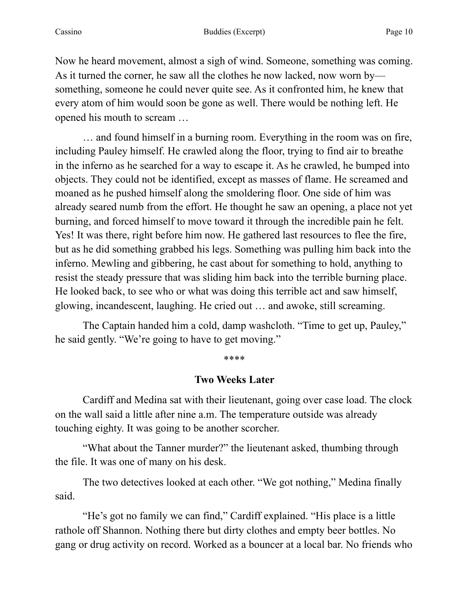Now he heard movement, almost a sigh of wind. Someone, something was coming. As it turned the corner, he saw all the clothes he now lacked, now worn by something, someone he could never quite see. As it confronted him, he knew that every atom of him would soon be gone as well. There would be nothing left. He opened his mouth to scream …

 … and found himself in a burning room. Everything in the room was on fire, including Pauley himself. He crawled along the floor, trying to find air to breathe in the inferno as he searched for a way to escape it. As he crawled, he bumped into objects. They could not be identified, except as masses of flame. He screamed and moaned as he pushed himself along the smoldering floor. One side of him was already seared numb from the effort. He thought he saw an opening, a place not yet burning, and forced himself to move toward it through the incredible pain he felt. Yes! It was there, right before him now. He gathered last resources to flee the fire, but as he did something grabbed his legs. Something was pulling him back into the inferno. Mewling and gibbering, he cast about for something to hold, anything to resist the steady pressure that was sliding him back into the terrible burning place. He looked back, to see who or what was doing this terrible act and saw himself, glowing, incandescent, laughing. He cried out … and awoke, still screaming.

 The Captain handed him a cold, damp washcloth. "Time to get up, Pauley," he said gently. "We're going to have to get moving."

#### \*\*\*\*

#### **Two Weeks Later**

Cardiff and Medina sat with their lieutenant, going over case load. The clock on the wall said a little after nine a.m. The temperature outside was already touching eighty. It was going to be another scorcher.

 "What about the Tanner murder?" the lieutenant asked, thumbing through the file. It was one of many on his desk.

 The two detectives looked at each other. "We got nothing," Medina finally said.

 "He's got no family we can find," Cardiff explained. "His place is a little rathole off Shannon. Nothing there but dirty clothes and empty beer bottles. No gang or drug activity on record. Worked as a bouncer at a local bar. No friends who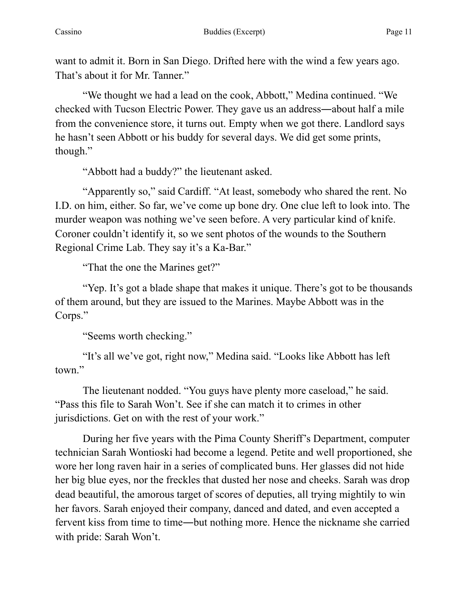want to admit it. Born in San Diego. Drifted here with the wind a few years ago. That's about it for Mr. Tanner."

 "We thought we had a lead on the cook, Abbott," Medina continued. "We checked with Tucson Electric Power. They gave us an address―about half a mile from the convenience store, it turns out. Empty when we got there. Landlord says he hasn't seen Abbott or his buddy for several days. We did get some prints, though."

"Abbott had a buddy?" the lieutenant asked.

 "Apparently so," said Cardiff. "At least, somebody who shared the rent. No I.D. on him, either. So far, we've come up bone dry. One clue left to look into. The murder weapon was nothing we've seen before. A very particular kind of knife. Coroner couldn't identify it, so we sent photos of the wounds to the Southern Regional Crime Lab. They say it's a Ka-Bar."

"That the one the Marines get?"

 "Yep. It's got a blade shape that makes it unique. There's got to be thousands of them around, but they are issued to the Marines. Maybe Abbott was in the Corps."

"Seems worth checking."

 "It's all we've got, right now," Medina said. "Looks like Abbott has left town."

 The lieutenant nodded. "You guys have plenty more caseload," he said. "Pass this file to Sarah Won't. See if she can match it to crimes in other jurisdictions. Get on with the rest of your work."

 During her five years with the Pima County Sheriff's Department, computer technician Sarah Wontioski had become a legend. Petite and well proportioned, she wore her long raven hair in a series of complicated buns. Her glasses did not hide her big blue eyes, nor the freckles that dusted her nose and cheeks. Sarah was drop dead beautiful, the amorous target of scores of deputies, all trying mightily to win her favors. Sarah enjoyed their company, danced and dated, and even accepted a fervent kiss from time to time―but nothing more. Hence the nickname she carried with pride: Sarah Won't.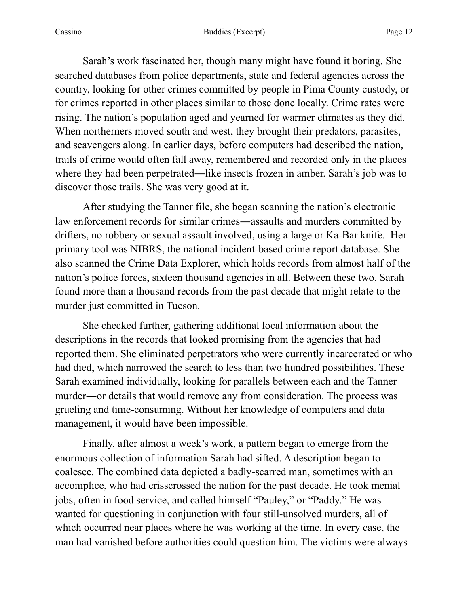Sarah's work fascinated her, though many might have found it boring. She searched databases from police departments, state and federal agencies across the country, looking for other crimes committed by people in Pima County custody, or for crimes reported in other places similar to those done locally. Crime rates were rising. The nation's population aged and yearned for warmer climates as they did. When northerners moved south and west, they brought their predators, parasites, and scavengers along. In earlier days, before computers had described the nation, trails of crime would often fall away, remembered and recorded only in the places where they had been perpetrated—like insects frozen in amber. Sarah's job was to discover those trails. She was very good at it.

 After studying the Tanner file, she began scanning the nation's electronic law enforcement records for similar crimes―assaults and murders committed by drifters, no robbery or sexual assault involved, using a large or Ka-Bar knife. Her primary tool was NIBRS, the national incident-based crime report database. She also scanned the Crime Data Explorer, which holds records from almost half of the nation's police forces, sixteen thousand agencies in all. Between these two, Sarah found more than a thousand records from the past decade that might relate to the murder just committed in Tucson.

 She checked further, gathering additional local information about the descriptions in the records that looked promising from the agencies that had reported them. She eliminated perpetrators who were currently incarcerated or who had died, which narrowed the search to less than two hundred possibilities. These Sarah examined individually, looking for parallels between each and the Tanner murder―or details that would remove any from consideration. The process was grueling and time-consuming. Without her knowledge of computers and data management, it would have been impossible.

 Finally, after almost a week's work, a pattern began to emerge from the enormous collection of information Sarah had sifted. A description began to coalesce. The combined data depicted a badly-scarred man, sometimes with an accomplice, who had crisscrossed the nation for the past decade. He took menial jobs, often in food service, and called himself "Pauley," or "Paddy." He was wanted for questioning in conjunction with four still-unsolved murders, all of which occurred near places where he was working at the time. In every case, the man had vanished before authorities could question him. The victims were always